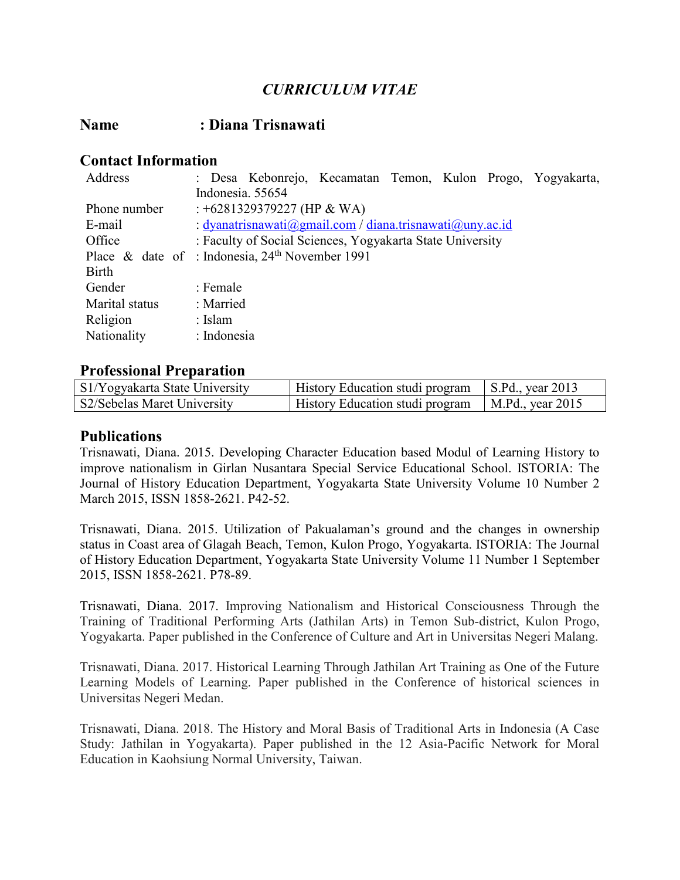# *CURRICULUM VITAE*

### **Name : Diana Trisnawati**

# **Contact Information**

| Address        | : Desa Kebonrejo, Kecamatan Temon, Kulon Progo, Yogyakarta, |  |  |
|----------------|-------------------------------------------------------------|--|--|
|                | Indonesia. 55654                                            |  |  |
| Phone number   | : +6281329379227 (HP & WA)                                  |  |  |
| E-mail         | : dyanatrisnawati@gmail.com / diana.trisnawati@uny.ac.id    |  |  |
| Office         | : Faculty of Social Sciences, Yogyakarta State University   |  |  |
|                | Place & date of : Indonesia, $24th$ November 1991           |  |  |
| <b>Birth</b>   |                                                             |  |  |
| Gender         | : Female                                                    |  |  |
| Marital status | : Married                                                   |  |  |
| Religion       | : Islam                                                     |  |  |
| Nationality    | : Indonesia                                                 |  |  |

## **Professional Preparation**

| S1/Yogyakarta State University | History Education studi program   S.Pd., year 2013 |  |
|--------------------------------|----------------------------------------------------|--|
| S2/Sebelas Maret University    | History Education studi program   M.Pd., year 2015 |  |

### **Publications**

Trisnawati, Diana. 2015. Developing Character Education based Modul of Learning History to improve nationalism in Girlan Nusantara Special Service Educational School. ISTORIA: The Journal of History Education Department, Yogyakarta State University Volume 10 Number 2 March 2015, ISSN 1858-2621. P42-52.

Trisnawati, Diana. 2015. Utilization of Pakualaman's ground and the changes in ownership status in Coast area of Glagah Beach, Temon, Kulon Progo, Yogyakarta. ISTORIA: The Journal of History Education Department, Yogyakarta State University Volume 11 Number 1 September 2015, ISSN 1858-2621. P78-89.

Trisnawati, Diana. 2017. Improving Nationalism and Historical Consciousness Through the Training of Traditional Performing Arts (Jathilan Arts) in Temon Sub-district, Kulon Progo, Yogyakarta. Paper published in the Conference of Culture and Art in Universitas Negeri Malang.

Trisnawati, Diana. 2017. Historical Learning Through Jathilan Art Training as One of the Future Learning Models of Learning. Paper published in the Conference of historical sciences in Universitas Negeri Medan.

Trisnawati, Diana. 2018. The History and Moral Basis of Traditional Arts in Indonesia (A Case Study: Jathilan in Yogyakarta). Paper published in the 12 Asia-Pacific Network for Moral Education in Kaohsiung Normal University, Taiwan.